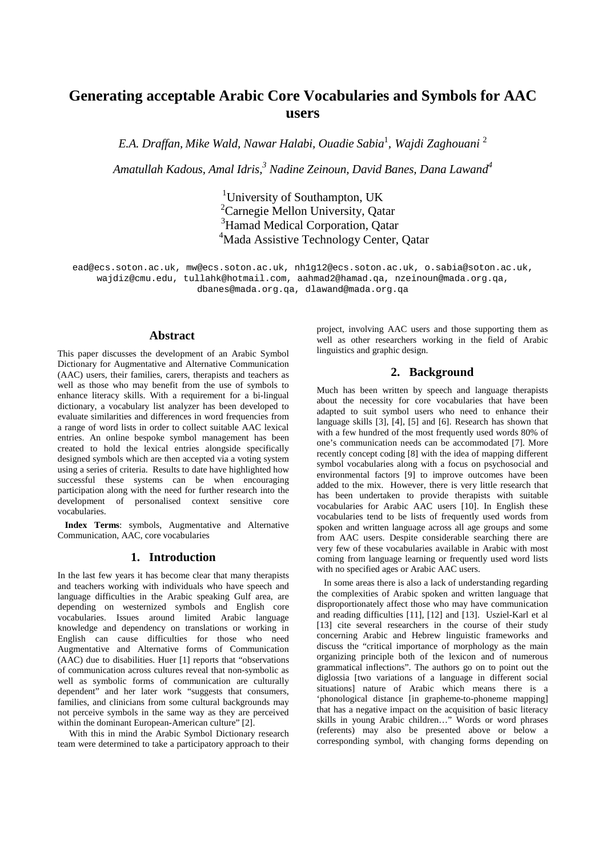# **Generating acceptable Arabic Core Vocabularies and Symbols for AAC users**

*E.A. Draffan, Mike Wald, Nawar Halabi, Ouadie Sabia*<sup>1</sup> *, Wajdi Zaghouani* <sup>2</sup>

*Amatullah Kadous, Amal Idris, <sup>3</sup> Nadine Zeinoun, David Banes, Dana Lawand4*

<sup>1</sup>University of Southampton, UK<br><sup>2</sup>Carnegie Mellon University, Oa <sup>2</sup> Carnegie Mellon University, Qatar<br><sup>3</sup> Hamad Medical Cornoration, Oata <sup>3</sup>Hamad Medical Corporation, Qatar<br><sup>4</sup>Mada Assistive Technology Center <sup>4</sup>Mada Assistive Technology Center, Qatar

ead@ecs.soton.ac.uk, mw@ecs.soton.ac.uk, nh1g12@ecs.soton.ac.uk, o.sabia@soton.ac.uk, wajdiz@cmu.edu, tullahk@hotmail.com, aahmad2@hamad.qa, nzeinoun@mada.org.qa, dbanes@mada.org.qa, dlawand@mada.org.qa

## **Abstract**

This paper discusses the development of an Arabic Symbol Dictionary for Augmentative and Alternative Communication (AAC) users, their families, carers, therapists and teachers as well as those who may benefit from the use of symbols to enhance literacy skills. With a requirement for a bi-lingual dictionary, a vocabulary list analyzer has been developed to evaluate similarities and differences in word frequencies from a range of word lists in order to collect suitable AAC lexical entries. An online bespoke symbol management has been created to hold the lexical entries alongside specifically designed symbols which are then accepted via a voting system using a series of criteria. Results to date have highlighted how successful these systems can be when encouraging participation along with the need for further research into the development of personalised context sensitive core vocabularies.

**Index Terms**: symbols, Augmentative and Alternative Communication, AAC, core vocabularies

# **1. Introduction**

In the last few years it has become clear that many therapists and teachers working with individuals who have speech and language difficulties in the Arabic speaking Gulf area, are depending on westernized symbols and English core vocabularies. Issues around limited Arabic language knowledge and dependency on translations or working in English can cause difficulties for those who need Augmentative and Alternative forms of Communication (AAC) due to disabilities. Huer [1] reports that "observations of communication across cultures reveal that non-symbolic as well as symbolic forms of communication are culturally dependent" and her later work "suggests that consumers, families, and clinicians from some cultural backgrounds may not perceive symbols in the same way as they are perceived within the dominant European-American culture" [2].

With this in mind the Arabic Symbol Dictionary research team were determined to take a participatory approach to their project, involving AAC users and those supporting them as well as other researchers working in the field of Arabic linguistics and graphic design.

# **2. Background**

Much has been written by speech and language therapists about the necessity for core vocabularies that have been adapted to suit symbol users who need to enhance their language skills [3], [4], [5] and [6]. Research has shown that with a few hundred of the most frequently used words 80% of one's communication needs can be accommodated [7]. More recently concept coding [8] with the idea of mapping different symbol vocabularies along with a focus on psychosocial and environmental factors [9] to improve outcomes have been added to the mix. However, there is very little research that has been undertaken to provide therapists with suitable vocabularies for Arabic AAC users [10]. In English these vocabularies tend to be lists of frequently used words from spoken and written language across all age groups and some from AAC users. Despite considerable searching there are very few of these vocabularies available in Arabic with most coming from language learning or frequently used word lists with no specified ages or Arabic AAC users.

In some areas there is also a lack of understanding regarding the complexities of Arabic spoken and written language that disproportionately affect those who may have communication and reading difficulties [11], [12] and [13]. Usziel-Karl et al [13] cite several researchers in the course of their study concerning Arabic and Hebrew linguistic frameworks and discuss the "critical importance of morphology as the main organizing principle both of the lexicon and of numerous grammatical inflections". The authors go on to point out the diglossia [two variations of a language in different social situations] nature of Arabic which means there is a 'phonological distance [in grapheme-to-phoneme mapping] that has a negative impact on the acquisition of basic literacy skills in young Arabic children…" Words or word phrases (referents) may also be presented above or below a corresponding symbol, with changing forms depending on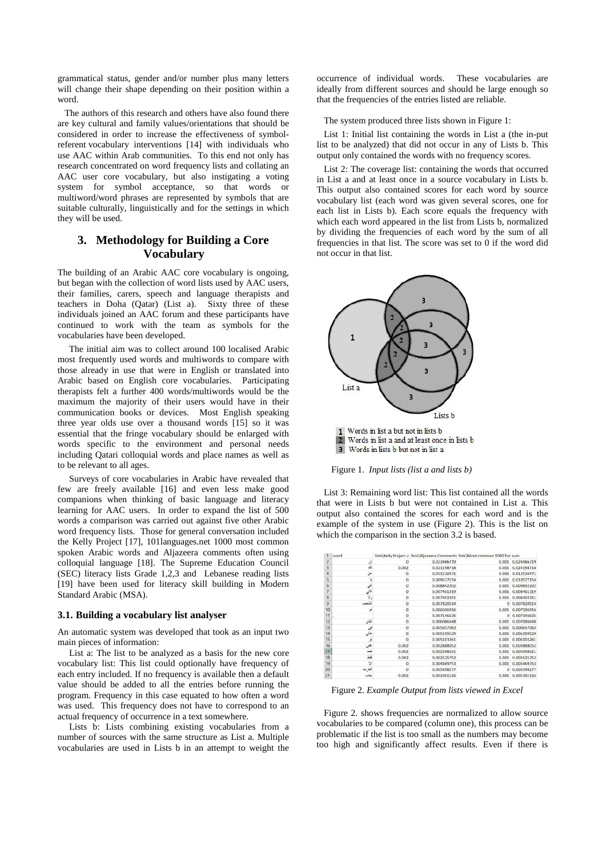grammatical status, gender and/or number plus many letters will change their shape depending on their position within a word.

The authors of this research and others have also found there are key cultural and family values/orientations that should be considered in order to increase the effectiveness of symbolreferent vocabulary interventions [14] with individuals who use AAC within Arab communities. To this end not only has research concentrated on word frequency lists and collating an AAC user core vocabulary, but also instigating a voting system for symbol acceptance, so that words or multiword/word phrases are represented by symbols that are suitable culturally, linguistically and for the settings in which they will be used.

# **3. Methodology for Building a Core Vocabulary**

The building of an Arabic AAC core vocabulary is ongoing, but began with the collection of word lists used by AAC users, their families, carers, speech and language therapists and teachers in Doha (Qatar) (List a). Sixty three of these individuals joined an AAC forum and these participants have continued to work with the team as symbols for the vocabularies have been developed.

The initial aim was to collect around 100 localised Arabic most frequently used words and multiwords to compare with those already in use that were in English or translated into Arabic based on English core vocabularies. Participating therapists felt a further 400 words/multiwords would be the maximum the majority of their users would have in their communication books or devices. Most English speaking three year olds use over a thousand words [15] so it was essential that the fringe vocabulary should be enlarged with words specific to the environment and personal needs including Qatari colloquial words and place names as well as to be relevant to all ages.

Surveys of core vocabularies in Arabic have revealed that few are freely available [16] and even less make good companions when thinking of basic language and literacy learning for AAC users. In order to expand the list of 500 words a comparison was carried out against five other Arabic word frequency lists. Those for general conversation included the Kelly Project [17], 101languages.net 1000 most common spoken Arabic words and Aljazeera comments often using colloquial language [18]. The Supreme Education Council (SEC) literacy lists Grade 1,2,3 and Lebanese reading lists [19] have been used for literacy skill building in Modern Standard Arabic (MSA).

#### **3.1. Building a vocabulary list analyser**

An automatic system was developed that took as an input two main pieces of information:

List a: The list to be analyzed as a basis for the new core vocabulary list: This list could optionally have frequency of each entry included. If no frequency is available then a default value should be added to all the entries before running the program. Frequency in this case equated to how often a word was used. This frequency does not have to correspond to an actual frequency of occurrence in a text somewhere.

Lists b: Lists combining existing vocabularies from a number of sources with the same structure as List a. Multiple vocabularies are used in Lists b in an attempt to weight the occurrence of individual words. These vocabularies are ideally from different sources and should be large enough so that the frequencies of the entries listed are reliable.

The system produced three lists shown in Figure 1:

List 1: Initial list containing the words in List a (the in-put list to be analyzed) that did not occur in any of Lists b. This output only contained the words with no frequency scores.

List 2: The coverage list: containing the words that occurred in List a and at least once in a source vocabulary in Lists b. This output also contained scores for each word by source vocabulary list (each word was given several scores, one for each list in Lists b). Each score equals the frequency with which each word appeared in the list from Lists b, normalized by dividing the frequencies of each word by the sum of all frequencies in that list. The score was set to 0 if the word did not occur in that list.



Figure 1. *Input lists (list a and lists b)*

List 3: Remaining word list: This list contained all the words that were in Lists b but were not contained in List a. This output also contained the scores for each word and is the example of the system in use (Figure 2). This is the list on which the comparison in the section 3.2 is based.

|                          | word         |             |             | lists\Kelly Project.c lists\Aljazeera Comments lists\Most common 1000 fro sum |                   |
|--------------------------|--------------|-------------|-------------|-------------------------------------------------------------------------------|-------------------|
| $\overline{z}$           | ۵l           | o           | 0.023466719 |                                                                               | 0.001 0.024466719 |
| 3                        | Δt           | 0.002       | 0.021198718 | 0.001                                                                         | 0.024198718       |
| 4                        | حن           | 0           | 0.011530471 |                                                                               | 0.001 0.012530471 |
| $\overline{\mathbf{5}}$  | ų            | $\Omega$    | 0.009577154 | 0.001                                                                         | 0.010577154       |
| $\overline{6}$           | الى          | $\circ$     | 0.008842202 |                                                                               | 0.001 0.009842202 |
| $\overline{\mathcal{U}}$ | ائش          | 0           | 0.007461319 |                                                                               | 0.001 0.008461319 |
| 8                        | y,           | Ö           | 0.007403351 |                                                                               | 0.001 0.008403351 |
| $\overline{9}$           | الشع         | $^{\circ}$  | 0.007820514 |                                                                               | 0 0.007820514     |
| 10                       | لع           | ö           | 0.006506916 |                                                                               | 0.001 0.007506916 |
| 11                       |              | $\Omega$    | 0.007146635 |                                                                               | 0 0.007146635     |
| 12                       | الذى         | $\mathbf 0$ | 0.006086648 |                                                                               | 0.001 0.007086648 |
| 13                       | فی           | ö           | 0.005657063 |                                                                               | 0.001 0.006657063 |
| 14                       | حتى          | $^{\circ}$  | 0.005199529 |                                                                               | 0.001 0.006199529 |
| 15                       | y            | $\Omega$    | 0.005103261 |                                                                               | 0.001 0.006103261 |
| 16                       | طی           | 0.002       | 0.002888052 | 0.001                                                                         | 0.005888052       |
| 17                       | طنذ          | 0.002       | 0.002698621 |                                                                               | 0.001 0.005698621 |
| 18                       | فتط          | 0.002       | 0.002525752 |                                                                               | 0.001 0.005525752 |
| 19                       | $\mathbf{y}$ | $^{\circ}$  | 0.004469753 |                                                                               | 0.001 0.005469753 |
| 20                       | العرب        | o           | 0.005398277 |                                                                               | 0 0.005398277     |
| 21                       | نحنب         | 0.002       | 0.002301126 |                                                                               | 0.001 0.005301126 |

Figure 2. *Example Output from lists viewed in Excel*

Figure 2. shows frequencies are normalized to allow source vocabularies to be compared (column one), this process can be problematic if the list is too small as the numbers may become too high and significantly affect results. Even if there is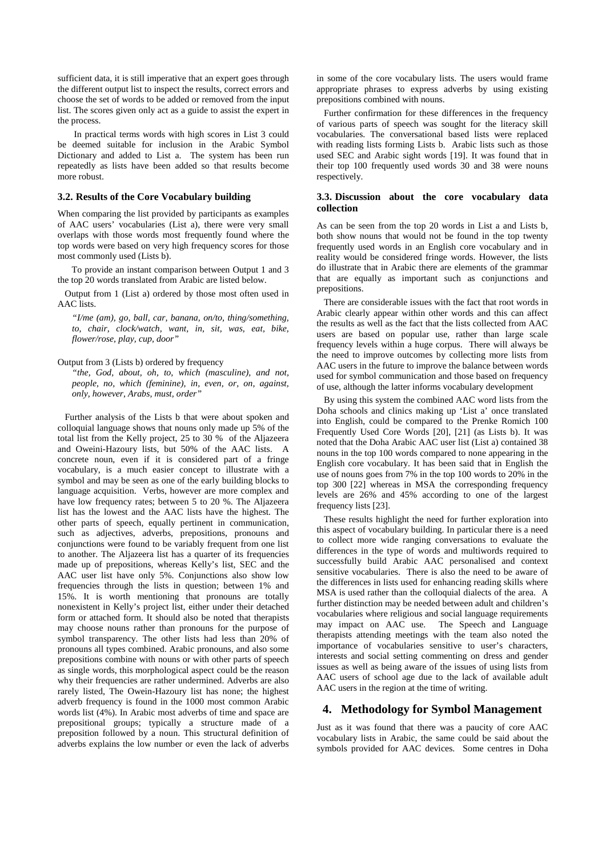sufficient data, it is still imperative that an expert goes through the different output list to inspect the results, correct errors and choose the set of words to be added or removed from the input list. The scores given only act as a guide to assist the expert in the process.

 In practical terms words with high scores in List 3 could be deemed suitable for inclusion in the Arabic Symbol Dictionary and added to List a. The system has been run repeatedly as lists have been added so that results become more robust.

#### **3.2. Results of the Core Vocabulary building**

When comparing the list provided by participants as examples of AAC users' vocabularies (List a), there were very small overlaps with those words most frequently found where the top words were based on very high frequency scores for those most commonly used (Lists b).

 To provide an instant comparison between Output 1 and 3 the top 20 words translated from Arabic are listed below.

Output from 1 (List a) ordered by those most often used in AAC lists.

*"I/me (am), go, ball, car, banana, on/to, thing/something, to, chair, clock/watch, want, in, sit, was, eat, bike, flower/rose, play, cup, door"*

#### Output from 3 (Lists b) ordered by frequency

*"the, God, about, oh, to, which (masculine), and not, people, no, which (feminine), in, even, or, on, against, only, however, Arabs, must, order"*

Further analysis of the Lists b that were about spoken and colloquial language shows that nouns only made up 5% of the total list from the Kelly project, 25 to 30 % of the Aljazeera and Oweini-Hazoury lists, but 50% of the AAC lists. A concrete noun, even if it is considered part of a fringe vocabulary, is a much easier concept to illustrate with a symbol and may be seen as one of the early building blocks to language acquisition. Verbs, however are more complex and have low frequency rates; between 5 to 20 %. The Aljazeera list has the lowest and the AAC lists have the highest. The other parts of speech, equally pertinent in communication, such as adjectives, adverbs, prepositions, pronouns and conjunctions were found to be variably frequent from one list to another. The Aljazeera list has a quarter of its frequencies made up of prepositions, whereas Kelly's list, SEC and the AAC user list have only 5%. Conjunctions also show low frequencies through the lists in question; between 1% and 15%. It is worth mentioning that pronouns are totally nonexistent in Kelly's project list, either under their detached form or attached form. It should also be noted that therapists may choose nouns rather than pronouns for the purpose of symbol transparency. The other lists had less than 20% of pronouns all types combined. Arabic pronouns, and also some prepositions combine with nouns or with other parts of speech as single words, this morphological aspect could be the reason why their frequencies are rather undermined. Adverbs are also rarely listed, The Owein-Hazoury list has none; the highest adverb frequency is found in the 1000 most common Arabic words list (4%). In Arabic most adverbs of time and space are prepositional groups; typically a structure made of a preposition followed by a noun. This structural definition of adverbs explains the low number or even the lack of adverbs in some of the core vocabulary lists. The users would frame appropriate phrases to express adverbs by using existing prepositions combined with nouns.

Further confirmation for these differences in the frequency of various parts of speech was sought for the literacy skill vocabularies. The conversational based lists were replaced with reading lists forming Lists b. Arabic lists such as those used SEC and Arabic sight words [19]. It was found that in their top 100 frequently used words 30 and 38 were nouns respectively.

#### **3.3. Discussion about the core vocabulary data collection**

As can be seen from the top 20 words in List a and Lists b, both show nouns that would not be found in the top twenty frequently used words in an English core vocabulary and in reality would be considered fringe words. However, the lists do illustrate that in Arabic there are elements of the grammar that are equally as important such as conjunctions and prepositions.

There are considerable issues with the fact that root words in Arabic clearly appear within other words and this can affect the results as well as the fact that the lists collected from AAC users are based on popular use, rather than large scale frequency levels within a huge corpus. There will always be the need to improve outcomes by collecting more lists from AAC users in the future to improve the balance between words used for symbol communication and those based on frequency of use, although the latter informs vocabulary development

By using this system the combined AAC word lists from the Doha schools and clinics making up 'List a' once translated into English, could be compared to the Prenke Romich 100 Frequently Used Core Words [20], [21] (as Lists b). It was noted that the Doha Arabic AAC user list (List a) contained 38 nouns in the top 100 words compared to none appearing in the English core vocabulary. It has been said that in English the use of nouns goes from 7% in the top 100 words to 20% in the top 300 [22] whereas in MSA the corresponding frequency levels are 26% and 45% according to one of the largest frequency lists [23].

These results highlight the need for further exploration into this aspect of vocabulary building. In particular there is a need to collect more wide ranging conversations to evaluate the differences in the type of words and multiwords required to successfully build Arabic AAC personalised and context sensitive vocabularies. There is also the need to be aware of the differences in lists used for enhancing reading skills where MSA is used rather than the colloquial dialects of the area. A further distinction may be needed between adult and children's vocabularies where religious and social language requirements may impact on AAC use. The Speech and Language therapists attending meetings with the team also noted the importance of vocabularies sensitive to user's characters, interests and social setting commenting on dress and gender issues as well as being aware of the issues of using lists from AAC users of school age due to the lack of available adult AAC users in the region at the time of writing.

### **4. Methodology for Symbol Management**

Just as it was found that there was a paucity of core AAC vocabulary lists in Arabic, the same could be said about the symbols provided for AAC devices. Some centres in Doha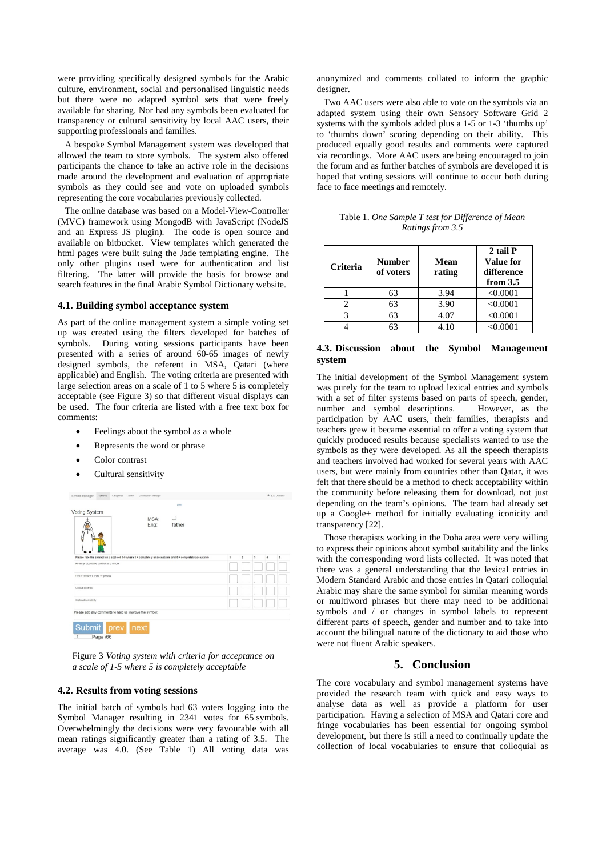were providing specifically designed symbols for the Arabic culture, environment, social and personalised linguistic needs but there were no adapted symbol sets that were freely available for sharing. Nor had any symbols been evaluated for transparency or cultural sensitivity by local AAC users, their supporting professionals and families.

A bespoke Symbol Management system was developed that allowed the team to store symbols. The system also offered participants the chance to take an active role in the decisions made around the development and evaluation of appropriate symbols as they could see and vote on uploaded symbols representing the core vocabularies previously collected.

The online database was based on a Model-View-Controller (MVC) framework using MongodB with JavaScript (NodeJS and an Express JS plugin). The code is open source and available on bitbucket. View templates which generated the html pages were built suing the Jade templating engine. The only other plugins used were for authentication and list filtering. The latter will provide the basis for browse and search features in the final Arabic Symbol Dictionary website.

#### **4.1. Building symbol acceptance system**

As part of the online management system a simple voting set up was created using the filters developed for batches of symbols. During voting sessions participants have been presented with a series of around 60-65 images of newly designed symbols, the referent in MSA, Qatari (where applicable) and English. The voting criteria are presented with large selection areas on a scale of 1 to 5 where 5 is completely acceptable (see Figure 3) so that different visual displays can be used. The four criteria are listed with a free text box for comments:

- Feelings about the symbol as a whole
- Represents the word or phrase
- Color contrast
- Cultural sensitivity



Figure 3 *Voting system with criteria for acceptance on a scale of 1-5 where 5 is completely acceptable*

## **4.2. Results from voting sessions**

The initial batch of symbols had 63 voters logging into the Symbol Manager resulting in 2341 votes for 65 symbols. Overwhelmingly the decisions were very favourable with all mean ratings significantly greater than a rating of 3.5. The average was 4.0. (See Table 1) All voting data was anonymized and comments collated to inform the graphic designer.

Two AAC users were also able to vote on the symbols via an adapted system using their own Sensory Software Grid 2 systems with the symbols added plus a 1-5 or 1-3 'thumbs up' to 'thumbs down' scoring depending on their ability. This produced equally good results and comments were captured via recordings. More AAC users are being encouraged to join the forum and as further batches of symbols are developed it is hoped that voting sessions will continue to occur both during face to face meetings and remotely.

| Table 1. One Sample T test for Difference of Mean |
|---------------------------------------------------|
| Ratings from 3.5                                  |

| <b>Criteria</b> | <b>Number</b><br>of voters | Mean<br>rating | 2 tail P<br>Value for<br>difference<br>from $3.5$ |
|-----------------|----------------------------|----------------|---------------------------------------------------|
|                 | 63                         | 3.94           | < 0.0001                                          |
|                 | 63                         | 3.90           | < 0.0001                                          |
| 3               | 63                         | 4.07           | < 0.0001                                          |
|                 | 63                         | 4.10           | < 0.0001                                          |

#### **4.3. Discussion about the Symbol Management system**

The initial development of the Symbol Management system was purely for the team to upload lexical entries and symbols with a set of filter systems based on parts of speech, gender, number and symbol descriptions. However, as the number and symbol descriptions. participation by AAC users, their families, therapists and teachers grew it became essential to offer a voting system that quickly produced results because specialists wanted to use the symbols as they were developed. As all the speech therapists and teachers involved had worked for several years with AAC users, but were mainly from countries other than Qatar, it was felt that there should be a method to check acceptability within the community before releasing them for download, not just depending on the team's opinions. The team had already set up a Google+ method for initially evaluating iconicity and transparency [22].

Those therapists working in the Doha area were very willing to express their opinions about symbol suitability and the links with the corresponding word lists collected. It was noted that there was a general understanding that the lexical entries in Modern Standard Arabic and those entries in Qatari colloquial Arabic may share the same symbol for similar meaning words or multiword phrases but there may need to be additional symbols and / or changes in symbol labels to represent different parts of speech, gender and number and to take into account the bilingual nature of the dictionary to aid those who were not fluent Arabic speakers.

## **5. Conclusion**

The core vocabulary and symbol management systems have provided the research team with quick and easy ways to analyse data as well as provide a platform for user participation. Having a selection of MSA and Qatari core and fringe vocabularies has been essential for ongoing symbol development, but there is still a need to continually update the collection of local vocabularies to ensure that colloquial as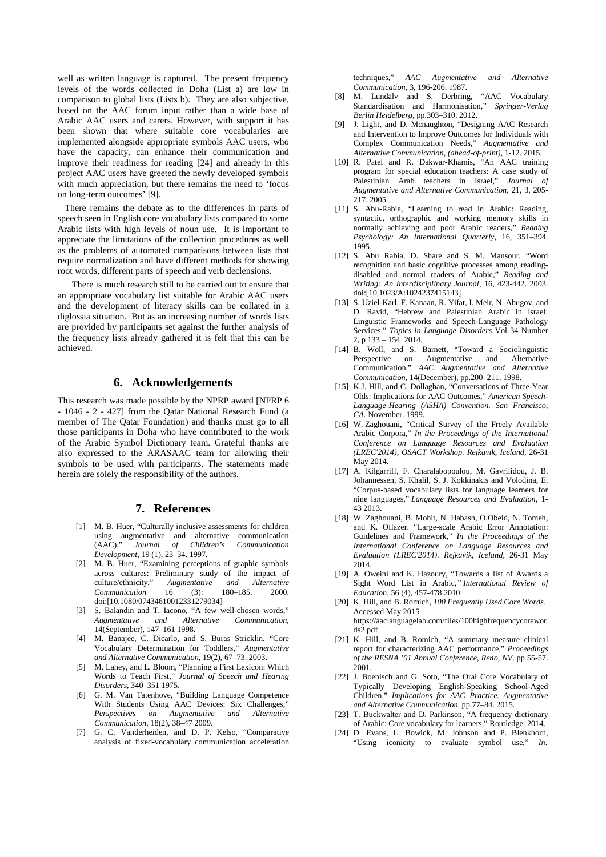well as written language is captured. The present frequency levels of the words collected in Doha (List a) are low in comparison to global lists (Lists b). They are also subjective, based on the AAC forum input rather than a wide base of Arabic AAC users and carers. However, with support it has been shown that where suitable core vocabularies are implemented alongside appropriate symbols AAC users, who have the capacity, can enhance their communication and improve their readiness for reading [24] and already in this project AAC users have greeted the newly developed symbols with much appreciation, but there remains the need to 'focus on long-term outcomes' [9].

There remains the debate as to the differences in parts of speech seen in English core vocabulary lists compared to some Arabic lists with high levels of noun use. It is important to appreciate the limitations of the collection procedures as well as the problems of automated comparisons between lists that require normalization and have different methods for showing root words, different parts of speech and verb declensions.

There is much research still to be carried out to ensure that an appropriate vocabulary list suitable for Arabic AAC users and the development of literacy skills can be collated in a diglossia situation. But as an increasing number of words lists are provided by participants set against the further analysis of the frequency lists already gathered it is felt that this can be achieved.

# **6. Acknowledgements**

This research was made possible by the NPRP award [NPRP 6 - 1046 - 2 - 427] from the Qatar National Research Fund (a member of The Qatar Foundation) and thanks must go to all those participants in Doha who have contributed to the work of the Arabic Symbol Dictionary team. Grateful thanks are also expressed to the ARASAAC team for allowing their symbols to be used with participants. The statements made herein are solely the responsibility of the authors.

# **7. References**

- [1] M. B. Huer, "Culturally inclusive assessments for children using augmentative and alternative communication (AAC)," *Journal of Children's Communication Development,* 19 (1), 23–34. 1997.
- [2] M. B. Huer, "Examining perceptions of graphic symbols across cultures: Preliminary study of the impact of culture/ethnicity," Augmentative and Alternative and *Alternative*<br>180–185. 2000. *Communication* 16 (3): 180–185. 2000. [doi:](http://en.wikipedia.org/wiki/Digital_object_identifier)[\[10.1080/07434610012331279034\]](http://dx.doi.org/10.1080%2F07434610012331279034)
- [3] S. Balandin and T. Iacono, "A few well-chosen words," *Augmentative and Alternative Communication,*  14(September), 147–161 1998.
- [4] M. Banajee, C. Dicarlo, and S. Buras Stricklin, "Core Vocabulary Determination for Toddlers," *Augmentative and Alternative Communication,* 19(2), 67–73. 2003.
- [5] M. Lahey, and L. Bloom, "Planning a First Lexicon: Which Words to Teach First," *Journal of Speech and Hearing Disorders*, 340–351 1975.
- [6] G. M. Van Tatenhove, "Building Language Competence With Students Using AAC Devices: Six Challenges," *Perspectives on Augmentative and Alternative Communication,* 18(2), 38–47 2009.
- [7] G. C. Vanderheiden, and D. P. Kelso, "Comparative analysis of fixed-vocabulary communication acceleration

techniques," *AAC Augmentative and Alternative Communication,* 3, 196-206. 1987.

- [8] M. Lundälv and S. Derbring, "AAC Vocabulary Standardisation and Harmonisation," *Springer-Verlag Berlin Heidelberg,* pp.303–310. 2012.
- [9] J. Light, and D. Mcnaughton, "Designing AAC Research and Intervention to Improve Outcomes for Individuals with Complex Communication Needs," *Augmentative and Alternative Communication, (ahead-of-print),* 1-12. 2015.
- [10] R. Patel and R. Dakwar-Khamis, "An AAC training program for special education teachers: A case study of Palestinian Arab teachers in Israel," *Journal of Augmentative and Alternative Communication,* 21, 3, 205- 217. 2005.
- [11] S. Abu-Rabia, "Learning to read in Arabic: Reading, syntactic, orthographic and working memory skills in normally achieving and poor Arabic readers," *Reading Psychology: An International Quarterly,* 16, 351–394. 1995.
- [12] S. Abu Rabia, D. Share and S. M. Mansour, "Word recognition and basic cognitive processes among readingdisabled and normal readers of Arabic," *Reading and Writing: An Interdisciplinary Journal*, 16, 423-442. 2003. doi:[10.1023/A:1024237415143]
- [13] S. Uziel-Karl, F. Kanaan, R. Yifat, I. Meir, N. Abugov, and D. Ravid, "Hebrew and Palestinian Arabic in Israel: Linguistic Frameworks and Speech-Language Pathology Services," *Topics in Language Disorders* Vol 34 Number 2, p 133 – 154 2014.
- [14] B. Woll, and S. Barnett, "Toward a Sociolinguistic Perspective on Augmentative and Alternative Communication," *AAC Augmentative and Alternative Communication,* 14(December), pp.200–211. 1998.
- [15] K.J. Hill, and C. Dollaghan, "Conversations of Three-Year Olds: Implications for AAC Outcomes," *American Speech-Language-Hearing (ASHA) Convention. San Francisco, CA.* November. 1999.
- [16] W. Zaghouani, "Critical Survey of the Freely Available Arabic Corpora," *In the Proceedings of the International Conference on Language Resources and Evaluation (LREC'2014), OSACT Workshop. Rejkavik, Iceland,* 26-31 May 2014.
- [17] A. Kilgarriff, F. Charalabopoulou, M. Gavrilidou, J. B. Johannessen, S. Khalil, S. J. Kokkinakis and Volodina, E. "Corpus-based vocabulary lists for language learners for nine languages," *Language Resources and Evaluation,* 1- 43 2013.
- [18] W. Zaghouani, B. Mohit, N. Habash, O.Obeid, N. Tomeh, and K. Oflazer. "Large-scale Arabic Error Annotation: Guidelines and Framework," *In the Proceedings of the International Conference on Language Resources and Evaluation (LREC'2014). Rejkavik, Iceland,* 26-31 May 2014.
- [19] A. Oweini and K. Hazoury, "Towards a list of Awards a Sight Word List in Arabic*," International Review of Education,* 56 (4), 457-478 2010.
- [20] K. Hill, and B. Romich, *100 Frequently Used Core Words.* Accessed May 2015 [https://aaclanguagelab.com/files/100highfrequencycorewor](https://aaclanguagelab.com/files/100highfrequencycorewords2.pdf) [ds2.pdf](https://aaclanguagelab.com/files/100highfrequencycorewords2.pdf)
- [21] K. Hill, and B. Romich, "A summary measure clinical report for characterizing AAC performance," *Proceedings of the RESNA '01 Annual Conference, Reno, NV*. pp 55-57. 2001.
- [22] J. Boenisch and G. Soto, "The Oral Core Vocabulary of Typically Developing English-Speaking School-Aged Children," *Implications for AAC Practice. Augmentative and Alternative Communication,* pp.77–84. 2015*.*
- [23] T. Buckwalter and D. Parkinson, "A frequency dictionary of Arabic: Core vocabulary for learners," Routledge. 2014.
- [24] D. Evans, L. Bowick, M. Johnson and P. Blenkhorn, "Using iconicity to evaluate symbol use," *In:*